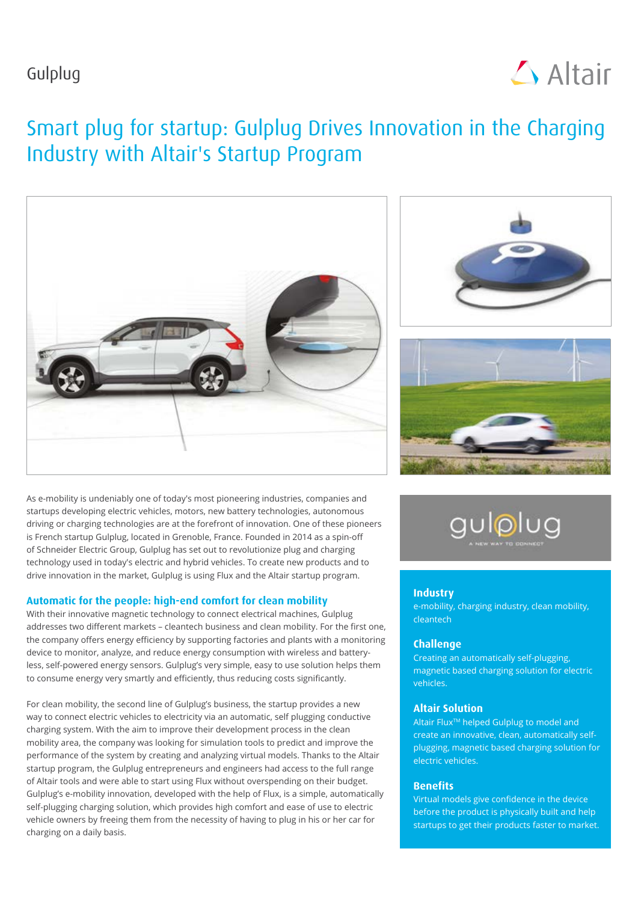## Gulplug



# Smart plug for startup: Gulplug Drives Innovation in the Charging Industry with Altair's Startup Program



As e-mobility is undeniably one of today's most pioneering industries, companies and startups developing electric vehicles, motors, new battery technologies, autonomous driving or charging technologies are at the forefront of innovation. One of these pioneers is French startup Gulplug, located in Grenoble, France. Founded in 2014 as a spin-off of Schneider Electric Group, Gulplug has set out to revolutionize plug and charging technology used in today's electric and hybrid vehicles. To create new products and to drive innovation in the market, Gulplug is using Flux and the Altair startup program.

#### **Automatic for the people: high-end comfort for clean mobility**

With their innovative magnetic technology to connect electrical machines, Gulplug addresses two different markets – cleantech business and clean mobility. For the first one, the company offers energy efficiency by supporting factories and plants with a monitoring device to monitor, analyze, and reduce energy consumption with wireless and batteryless, self-powered energy sensors. Gulplug's very simple, easy to use solution helps them to consume energy very smartly and efficiently, thus reducing costs significantly.

For clean mobility, the second line of Gulplug's business, the startup provides a new way to connect electric vehicles to electricity via an automatic, self plugging conductive charging system. With the aim to improve their development process in the clean mobility area, the company was looking for simulation tools to predict and improve the performance of the system by creating and analyzing virtual models. Thanks to the Altair startup program, the Gulplug entrepreneurs and engineers had access to the full range of Altair tools and were able to start using Flux without overspending on their budget. Gulplug's e-mobility innovation, developed with the help of Flux, is a simple, automatically self-plugging charging solution, which provides high comfort and ease of use to electric vehicle owners by freeing them from the necessity of having to plug in his or her car for charging on a daily basis.







#### **Industry**

e-mobility, charging industry, clean mobility, cleantech

#### **Challenge**

Creating an automatically self-plugging, magnetic based charging solution for electric vehicles.

#### **Altair Solution**

Altair Flux<sup>™</sup> helped Gulplug to model and create an innovative, clean, automatically selfplugging, magnetic based charging solution for electric vehicles.

#### **Benefits**

Virtual models give confidence in the device before the product is physically built and help startups to get their products faster to market.